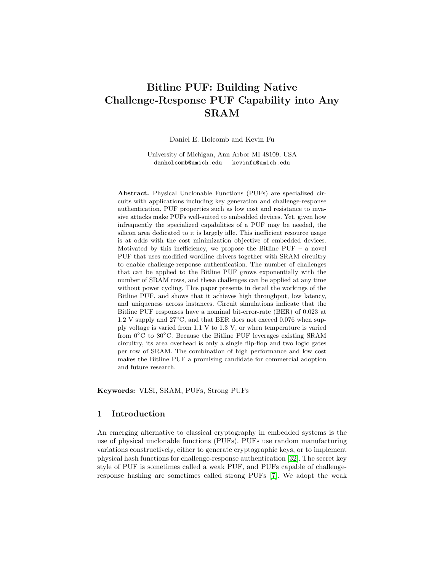# Bitline PUF: Building Native Challenge-Response PUF Capability into Any SRAM

Daniel E. Holcomb and Kevin Fu

University of Michigan, Ann Arbor MI 48109, USA danholcomb@umich.edu kevinfu@umich.edu

Abstract. Physical Unclonable Functions (PUFs) are specialized circuits with applications including key generation and challenge-response authentication. PUF properties such as low cost and resistance to invasive attacks make PUFs well-suited to embedded devices. Yet, given how infrequently the specialized capabilities of a PUF may be needed, the silicon area dedicated to it is largely idle. This inefficient resource usage is at odds with the cost minimization objective of embedded devices. Motivated by this inefficiency, we propose the Bitline  $PUF - a$  novel PUF that uses modified wordline drivers together with SRAM circuitry to enable challenge-response authentication. The number of challenges that can be applied to the Bitline PUF grows exponentially with the number of SRAM rows, and these challenges can be applied at any time without power cycling. This paper presents in detail the workings of the Bitline PUF, and shows that it achieves high throughput, low latency, and uniqueness across instances. Circuit simulations indicate that the Bitline PUF responses have a nominal bit-error-rate (BER) of 0.023 at 1.2 V supply and  $27^{\circ}$ C, and that BER does not exceed 0.076 when supply voltage is varied from 1.1 V to 1.3 V, or when temperature is varied from 0◦C to 80◦C. Because the Bitline PUF leverages existing SRAM circuitry, its area overhead is only a single flip-flop and two logic gates per row of SRAM. The combination of high performance and low cost makes the Bitline PUF a promising candidate for commercial adoption and future research.

Keywords: VLSI, SRAM, PUFs, Strong PUFs

# 1 Introduction

An emerging alternative to classical cryptography in embedded systems is the use of physical unclonable functions (PUFs). PUFs use random manufacturing variations constructively, either to generate cryptographic keys, or to implement physical hash functions for challenge-response authentication [\[32\]](#page-16-0). The secret key style of PUF is sometimes called a weak PUF, and PUFs capable of challengeresponse hashing are sometimes called strong PUFs [\[7\]](#page-15-0). We adopt the weak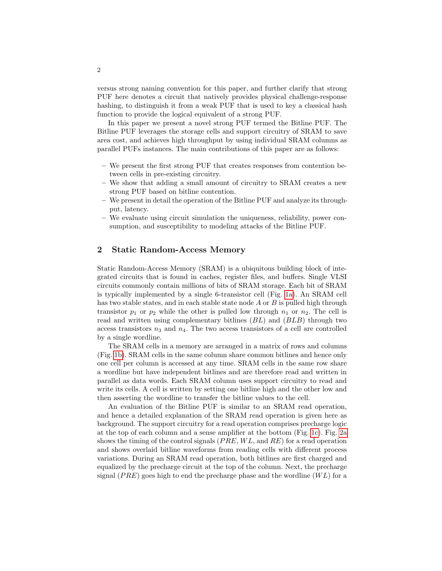versus strong naming convention for this paper, and further clarify that strong PUF here denotes a circuit that natively provides physical challenge-response hashing, to distinguish it from a weak PUF that is used to key a classical hash function to provide the logical equivalent of a strong PUF.

In this paper we present a novel strong PUF termed the Bitline PUF. The Bitline PUF leverages the storage cells and support circuitry of SRAM to save area cost, and achieves high throughput by using individual SRAM columns as parallel PUFs instances. The main contributions of this paper are as follows:

- We present the first strong PUF that creates responses from contention between cells in pre-existing circuitry.
- We show that adding a small amount of circuitry to SRAM creates a new strong PUF based on bitline contention.
- We present in detail the operation of the Bitline PUF and analyze its throughput, latency.
- We evaluate using circuit simulation the uniqueness, reliability, power consumption, and susceptibility to modeling attacks of the Bitline PUF.

# 2 Static Random-Access Memory

Static Random-Access Memory (SRAM) is a ubiquitous building block of integrated circuits that is found in caches, register files, and buffers. Single VLSI circuits commonly contain millions of bits of SRAM storage. Each bit of SRAM is typically implemented by a single 6-transistor cell (Fig. [1a\)](#page-2-0). An SRAM cell has two stable states, and in each stable state node A or B is pulled high through transistor  $p_1$  or  $p_2$  while the other is pulled low through  $n_1$  or  $n_2$ . The cell is read and written using complementary bitlines (BL) and (BLB) through two access transistors  $n_3$  and  $n_4$ . The two access transistors of a cell are controlled by a single wordline.

The SRAM cells in a memory are arranged in a matrix of rows and columns (Fig. [1b\)](#page-2-1). SRAM cells in the same column share common bitlines and hence only one cell per column is accessed at any time. SRAM cells in the same row share a wordline but have independent bitlines and are therefore read and written in parallel as data words. Each SRAM column uses support circuitry to read and write its cells. A cell is written by setting one bitline high and the other low and then asserting the wordline to transfer the bitline values to the cell.

An evaluation of the Bitline PUF is similar to an SRAM read operation, and hence a detailed explanation of the SRAM read operation is given here as background. The support circuitry for a read operation comprises precharge logic at the top of each column and a sense amplifier at the bottom (Fig. [1c\)](#page-2-2). Fig. [2a](#page-3-0) shows the timing of the control signals  $(PRE, WL, and RE)$  for a read operation and shows overlaid bitline waveforms from reading cells with different process variations. During an SRAM read operation, both bitlines are first charged and equalized by the precharge circuit at the top of the column. Next, the precharge signal ( $PRE$ ) goes high to end the precharge phase and the wordline ( $WL$ ) for a

2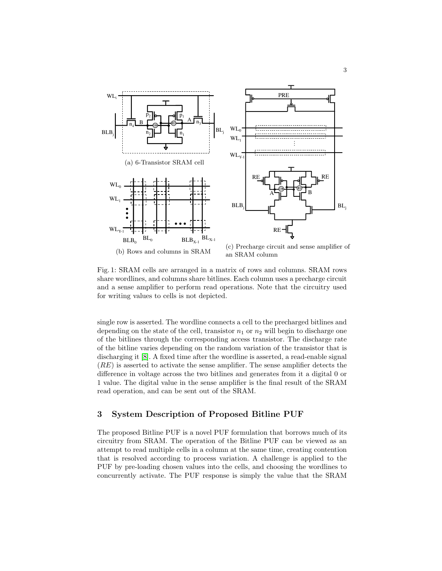<span id="page-2-2"></span><span id="page-2-1"></span><span id="page-2-0"></span>

Fig. 1: SRAM cells are arranged in a matrix of rows and columns. SRAM rows share wordlines, and columns share bitlines. Each column uses a precharge circuit and a sense amplifier to perform read operations. Note that the circuitry used for writing values to cells is not depicted.

single row is asserted. The wordline connects a cell to the precharged bitlines and depending on the state of the cell, transistor  $n_1$  or  $n_2$  will begin to discharge one of the bitlines through the corresponding access transistor. The discharge rate of the bitline varies depending on the random variation of the transistor that is discharging it [\[8\]](#page-15-1). A fixed time after the wordline is asserted, a read-enable signal (RE) is asserted to activate the sense amplifier. The sense amplifier detects the difference in voltage across the two bitlines and generates from it a digital 0 or 1 value. The digital value in the sense amplifier is the final result of the SRAM read operation, and can be sent out of the SRAM.

# 3 System Description of Proposed Bitline PUF

The proposed Bitline PUF is a novel PUF formulation that borrows much of its circuitry from SRAM. The operation of the Bitline PUF can be viewed as an attempt to read multiple cells in a column at the same time, creating contention that is resolved according to process variation. A challenge is applied to the PUF by pre-loading chosen values into the cells, and choosing the wordlines to concurrently activate. The PUF response is simply the value that the SRAM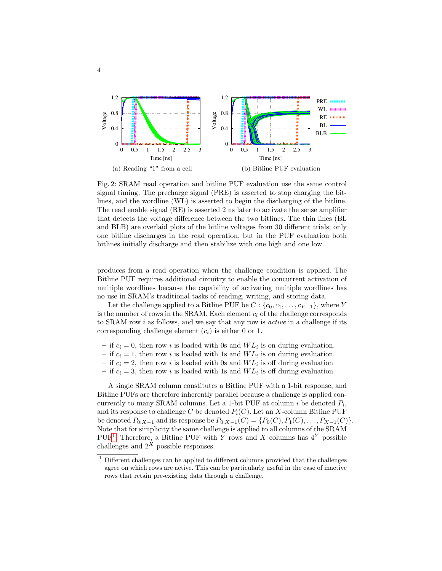<span id="page-3-0"></span>

<span id="page-3-2"></span>Fig. 2: SRAM read operation and bitline PUF evaluation use the same control signal timing. The precharge signal (PRE) is asserted to stop charging the bitlines, and the wordline (WL) is asserted to begin the discharging of the bitline. The read enable signal (RE) is asserted 2 ns later to activate the sense amplifier that detects the voltage difference between the two bitlines. The thin lines (BL and BLB) are overlaid plots of the bitline voltages from 30 different trials; only one bitline discharges in the read operation, but in the PUF evaluation both bitlines initially discharge and then stabilize with one high and one low.

produces from a read operation when the challenge condition is applied. The Bitline PUF requires additional circuitry to enable the concurrent activation of multiple wordlines because the capability of activating multiple wordlines has no use in SRAM's traditional tasks of reading, writing, and storing data.

Let the challenge applied to a Bitline PUF be  $C: \{c_0, c_1, \ldots, c_{Y-1}\},$  where Y is the number of rows in the SRAM. Each element  $c_i$  of the challenge corresponds to SRAM row  $i$  as follows, and we say that any row is *active* in a challenge if its corresponding challenge element  $(c_i)$  is either 0 or 1.

- if  $c_i = 0$ , then row i is loaded with 0s and  $WL_i$  is on during evaluation.
- if  $c_i = 1$ , then row i is loaded with 1s and  $WL_i$  is on during evaluation.
- if  $c_i = 2$ , then row i is loaded with 0s and  $WL_i$  is off during evaluation
- if  $c_i = 3$ , then row i is loaded with 1s and  $WL_i$  is off during evaluation

A single SRAM column constitutes a Bitline PUF with a 1-bit response, and Bitline PUFs are therefore inherently parallel because a challenge is applied concurrently to many SRAM columns. Let a 1-bit PUF at column  $i$  be denoted  $P_i$ , and its response to challenge C be denoted  $P_i(C)$ . Let an X-column Bitline PUF be denoted  $P_{0:X-1}$  and its response be  $P_{0:X-1}(C) = \{P_0(C), P_1(C), \ldots, P_{X-1}(C)\}.$ Note that for simplicity the same challenge is applied to all columns of the SRAM PUF<sup>[1](#page-3-1)</sup>. Therefore, a Bitline PUF with Y rows and X columns has  $4^Y$  possible challenges and  $2^X$  possible responses.

<span id="page-3-1"></span><sup>&</sup>lt;sup>1</sup> Different challenges can be applied to different columns provided that the challenges agree on which rows are active. This can be particularly useful in the case of inactive rows that retain pre-existing data through a challenge.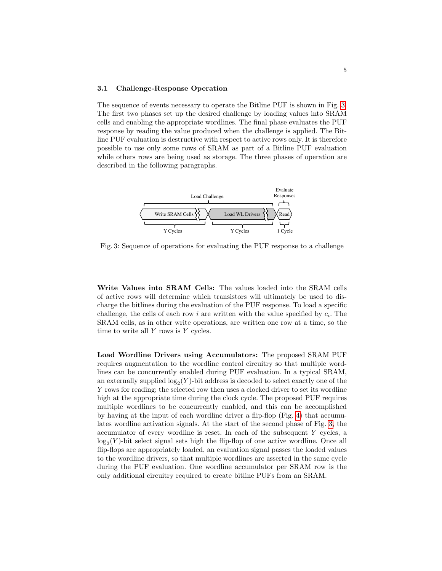#### 3.1 Challenge-Response Operation

The sequence of events necessary to operate the Bitline PUF is shown in Fig. [3.](#page-4-0) The first two phases set up the desired challenge by loading values into SRAM cells and enabling the appropriate wordlines. The final phase evaluates the PUF response by reading the value produced when the challenge is applied. The Bitline PUF evaluation is destructive with respect to active rows only. It is therefore possible to use only some rows of SRAM as part of a Bitline PUF evaluation while others rows are being used as storage. The three phases of operation are described in the following paragraphs.

<span id="page-4-0"></span>

Fig. 3: Sequence of operations for evaluating the PUF response to a challenge

Write Values into SRAM Cells: The values loaded into the SRAM cells of active rows will determine which transistors will ultimately be used to discharge the bitlines during the evaluation of the PUF response. To load a specific challenge, the cells of each row  $i$  are written with the value specified by  $c_i$ . The SRAM cells, as in other write operations, are written one row at a time, so the time to write all  $Y$  rows is  $Y$  cycles.

Load Wordline Drivers using Accumulators: The proposed SRAM PUF requires augmentation to the wordline control circuitry so that multiple wordlines can be concurrently enabled during PUF evaluation. In a typical SRAM, an externally supplied  $log_2(Y)$ -bit address is decoded to select exactly one of the Y rows for reading; the selected row then uses a clocked driver to set its wordline high at the appropriate time during the clock cycle. The proposed PUF requires multiple wordlines to be concurrently enabled, and this can be accomplished by having at the input of each wordline driver a flip-flop (Fig. [4\)](#page-5-0) that accumulates wordline activation signals. At the start of the second phase of Fig. [3,](#page-4-0) the accumulator of every wordline is reset. In each of the subsequent Y cycles, a  $\log_2(Y)$ -bit select signal sets high the flip-flop of one active wordline. Once all flip-flops are appropriately loaded, an evaluation signal passes the loaded values to the wordline drivers, so that multiple wordlines are asserted in the same cycle during the PUF evaluation. One wordline accumulator per SRAM row is the only additional circuitry required to create bitline PUFs from an SRAM.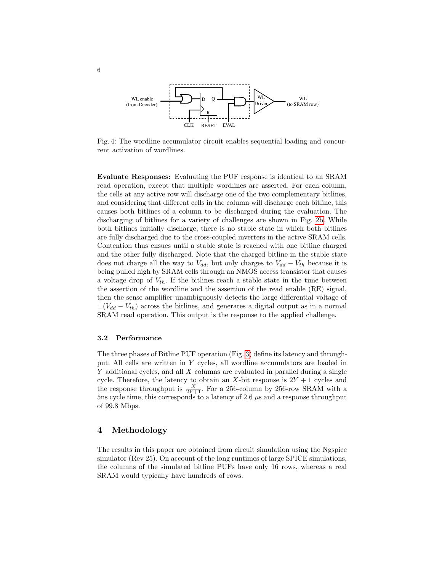<span id="page-5-0"></span>

Fig. 4: The wordline accumulator circuit enables sequential loading and concurrent activation of wordlines.

Evaluate Responses: Evaluating the PUF response is identical to an SRAM read operation, except that multiple wordlines are asserted. For each column, the cells at any active row will discharge one of the two complementary bitlines, and considering that different cells in the column will discharge each bitline, this causes both bitlines of a column to be discharged during the evaluation. The discharging of bitlines for a variety of challenges are shown in Fig. [2b.](#page-3-2) While both bitlines initially discharge, there is no stable state in which both bitlines are fully discharged due to the cross-coupled inverters in the active SRAM cells. Contention thus ensues until a stable state is reached with one bitline charged and the other fully discharged. Note that the charged bitline in the stable state does not charge all the way to  $V_{dd}$ , but only charges to  $V_{dd} - V_{th}$  because it is being pulled high by SRAM cells through an NMOS access transistor that causes a voltage drop of  $V_{th}$ . If the bitlines reach a stable state in the time between the assertion of the wordline and the assertion of the read enable (RE) signal, then the sense amplifier unambiguously detects the large differential voltage of  $\pm(V_{dd} - V_{th})$  across the bitlines, and generates a digital output as in a normal SRAM read operation. This output is the response to the applied challenge.

#### 3.2 Performance

The three phases of Bitline PUF operation (Fig. [3\)](#page-4-0) define its latency and throughput. All cells are written in Y cycles, all wordline accumulators are loaded in Y additional cycles, and all X columns are evaluated in parallel during a single cycle. Therefore, the latency to obtain an X-bit response is  $2Y + 1$  cycles and the response throughput is  $\frac{X}{2Y+1}$ . For a 256-column by 256-row SRAM with a 5ns cycle time, this corresponds to a latency of 2.6  $\mu$ s and a response throughput of 99.8 Mbps.

# 4 Methodology

The results in this paper are obtained from circuit simulation using the Ngspice simulator (Rev 25). On account of the long runtimes of large SPICE simulations, the columns of the simulated bitline PUFs have only 16 rows, whereas a real SRAM would typically have hundreds of rows.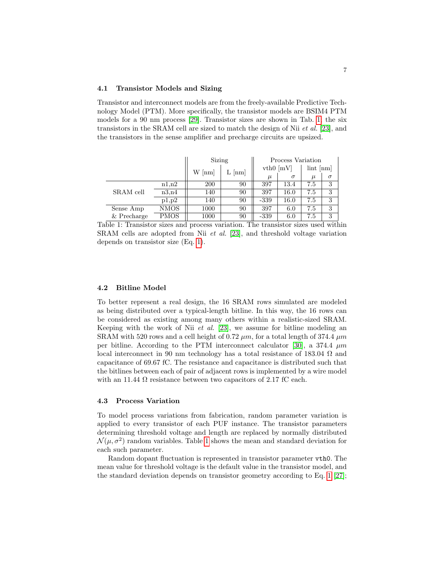#### 4.1 Transistor Models and Sizing

Transistor and interconnect models are from the freely-available Predictive Technology Model (PTM). More specifically, the transistor models are BSIM4 PTM models for a 90 nm process [\[29\]](#page-16-1). Transistor sizes are shown in Tab. [1;](#page-6-0) the six transistors in the SRAM cell are sized to match the design of Nii  $et al.$  [\[23\]](#page-16-2), and the transistors in the sense amplifier and precharge circuits are upsized.

<span id="page-6-0"></span>

|               |             | Sizing   |              | Process Variation |          |                       |          |
|---------------|-------------|----------|--------------|-------------------|----------|-----------------------|----------|
|               |             | $W$ [nm] | $\lfloor$ nm | $vth0$ [mV]       |          | $\lim_{m \to \infty}$ |          |
|               |             |          |              | $\mu$             | $\sigma$ | $\mu$                 | $\sigma$ |
| SRAM cell     | n1.n2       | 200      | 90           | 397               | 13.4     | 7.5                   | 3        |
|               | n3.n4       | 140      | 90           | 397               | 16.0     | 7.5                   | 3        |
|               | p1,p2       | 140      | 90           | $-339$            | 16.0     | 7.5                   | 3        |
| Sense Amp     | NMOS        | 1000     | 90           | 397               | 6.0      | 7.5                   | 3        |
| $&$ Precharge | <b>PMOS</b> | 1000     | 90           | -339              | 6.0      | 7.5                   | 3        |

Table 1: Transistor sizes and process variation. The transistor sizes used within SRAM cells are adopted from Nii et al. [\[23\]](#page-16-2), and threshold voltage variation depends on transistor size (Eq. [1\)](#page-7-0).

## 4.2 Bitline Model

To better represent a real design, the 16 SRAM rows simulated are modeled as being distributed over a typical-length bitline. In this way, the 16 rows can be considered as existing among many others within a realistic-sized SRAM. Keeping with the work of Nii  $et \ al.$  [\[23\]](#page-16-2), we assume for bitline modeling an SRAM with 520 rows and a cell height of 0.72  $\mu$ m, for a total length of 374.4  $\mu$ m per bitline. According to the PTM interconnect calculator [\[30\]](#page-16-3), a 374.4  $\mu$ m local interconnect in 90 nm technology has a total resistance of 183.04  $\Omega$  and capacitance of 69.67 fC. The resistance and capacitance is distributed such that the bitlines between each of pair of adjacent rows is implemented by a wire model with an 11.44  $\Omega$  resistance between two capacitors of 2.17 fC each.

#### 4.3 Process Variation

To model process variations from fabrication, random parameter variation is applied to every transistor of each PUF instance. The transistor parameters determining threshold voltage and length are replaced by normally distributed  $\mathcal{N}(\mu, \sigma^2)$  random variables. Table [1](#page-6-0) shows the mean and standard deviation for each such parameter.

Random dopant fluctuation is represented in transistor parameter vth0. The mean value for threshold voltage is the default value in the transistor model, and the standard deviation depends on transistor geometry according to Eq. [1](#page-7-0) [\[27\]](#page-16-4);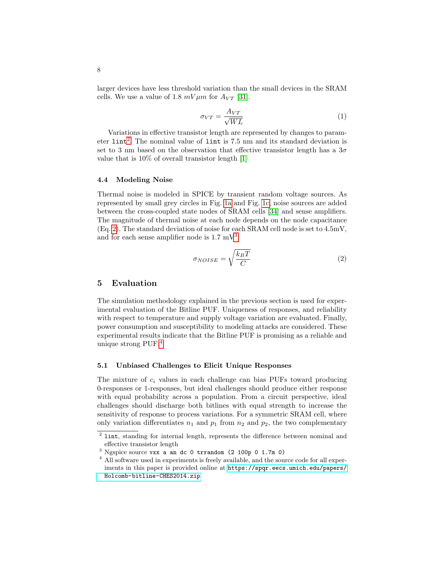<span id="page-7-0"></span>larger devices have less threshold variation than the small devices in the SRAM cells. We use a value of 1.8  $mV \mu m$  for  $A_{VT}$  [\[31\]](#page-16-5).

$$
\sigma_{VT} = \frac{A_{VT}}{\sqrt{WL}}\tag{1}
$$

Variations in effective transistor length are represented by changes to parameter  $\text{lint}^2$  $\text{lint}^2$ . The nominal value of  $\text{lint}$  is 7.5 nm and its standard deviation is set to 3 nm based on the observation that effective transistor length has a  $3\sigma$ value that is 10% of overall transistor length [\[1\]](#page-14-0)

## 4.4 Modeling Noise

Thermal noise is modeled in SPICE by transient random voltage sources. As represented by small grey circles in Fig. [1a](#page-2-0) and Fig. [1c,](#page-2-2) noise sources are added between the cross-coupled state nodes of SRAM cells [\[34\]](#page-16-6) and sense amplifiers. The magnitude of thermal noise at each node depends on the node capacitance (Eq. [2\)](#page-7-2). The standard deviation of noise for each SRAM cell node is set to 4.5mV, and for each sense amplifier node is  $1.7 \text{ mV}^3$  $1.7 \text{ mV}^3$ .

$$
\sigma_{NOISE} = \sqrt{\frac{k_B T}{C}}\tag{2}
$$

# <span id="page-7-2"></span>5 Evaluation

The simulation methodology explained in the previous section is used for experimental evaluation of the Bitline PUF. Uniqueness of responses, and reliability with respect to temperature and supply voltage variation are evaluated. Finally, power consumption and susceptibility to modeling attacks are considered. These experimental results indicate that the Bitline PUF is promising as a reliable and unique strong PUF.[4](#page-7-4)

### 5.1 Unbiased Challenges to Elicit Unique Responses

The mixture of  $c_i$  values in each challenge can bias PUFs toward producing 0-responses or 1-responses, but ideal challenges should produce either response with equal probability across a population. From a circuit perspective, ideal challenges should discharge both bitlines with equal strength to increase the sensitivity of response to process variations. For a symmetric SRAM cell, where only variation differentiates  $n_1$  and  $p_1$  from  $n_2$  and  $p_2$ , the two complementary

<span id="page-7-1"></span><sup>&</sup>lt;sup>2</sup> lint, standing for internal length, represents the difference between nominal and effective transistor length

<span id="page-7-3"></span><sup>3</sup> Ngspice source vxx a an dc 0 trrandom (2 100p 0 1.7m 0)

<span id="page-7-4"></span><sup>4</sup> All software used in experiments is freely available, and the source code for all experiments in this paper is provided online at [https://spqr.eecs.umich.edu/papers/](https://spqr.eecs.umich.edu/papers/Holcomb-bitline-CHES2014.zip) [Holcomb-bitline-CHES2014.zip](https://spqr.eecs.umich.edu/papers/Holcomb-bitline-CHES2014.zip)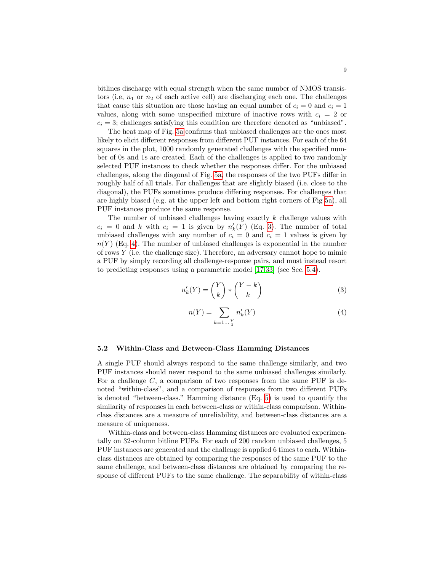bitlines discharge with equal strength when the same number of NMOS transistors (i.e,  $n_1$  or  $n_2$  of each active cell) are discharging each one. The challenges that cause this situation are those having an equal number of  $c_i = 0$  and  $c_i = 1$ values, along with some unspecified mixture of inactive rows with  $c_i = 2$  or  $c_i = 3$ ; challenges satisfying this condition are therefore denoted as "unbiased".

The heat map of Fig. [5a](#page-9-0) confirms that unbiased challenges are the ones most likely to elicit different responses from different PUF instances. For each of the 64 squares in the plot, 1000 randomly generated challenges with the specified number of 0s and 1s are created. Each of the challenges is applied to two randomly selected PUF instances to check whether the responses differ. For the unbiased challenges, along the diagonal of Fig. [5a,](#page-9-0) the responses of the two PUFs differ in roughly half of all trials. For challenges that are slightly biased (i.e. close to the diagonal), the PUFs sometimes produce differing responses. For challenges that are highly biased (e.g. at the upper left and bottom right corners of Fig [5a\)](#page-9-0), all PUF instances produce the same response.

<span id="page-8-0"></span>The number of unbiased challenges having exactly  $k$  challenge values with  $c_i = 0$  and k with  $c_i = 1$  is given by  $n'_k(Y)$  (Eq. [3\)](#page-8-0). The number of total unbiased challenges with any number of  $c_i = 0$  and  $c_i = 1$  values is given by  $n(Y)$  (Eq. [4\)](#page-8-1). The number of unbiased challenges is exponential in the number of rows  $Y$  (i.e. the challenge size). Therefore, an adversary cannot hope to mimic a PUF by simply recording all challenge-response pairs, and must instead resort to predicting responses using a parametric model [\[17](#page-15-2)[,33\]](#page-16-7) (see Sec. [5.4\)](#page-10-0).

$$
n'_{k}(Y) = \binom{Y}{k} * \binom{Y-k}{k} \tag{3}
$$

$$
n(Y) = \sum_{k=1... \frac{Y}{2}} n'_k(Y) \tag{4}
$$

#### <span id="page-8-1"></span>5.2 Within-Class and Between-Class Hamming Distances

A single PUF should always respond to the same challenge similarly, and two PUF instances should never respond to the same unbiased challenges similarly. For a challenge  $C$ , a comparison of two responses from the same PUF is denoted "within-class", and a comparison of responses from two different PUFs is denoted "between-class." Hamming distance (Eq. [5\)](#page-9-1) is used to quantify the similarity of responses in each between-class or within-class comparison. Withinclass distances are a measure of unreliability, and between-class distances are a measure of uniqueness.

Within-class and between-class Hamming distances are evaluated experimentally on 32-column bitline PUFs. For each of 200 random unbiased challenges, 5 PUF instances are generated and the challenge is applied 6 times to each. Withinclass distances are obtained by comparing the responses of the same PUF to the same challenge, and between-class distances are obtained by comparing the response of different PUFs to the same challenge. The separability of within-class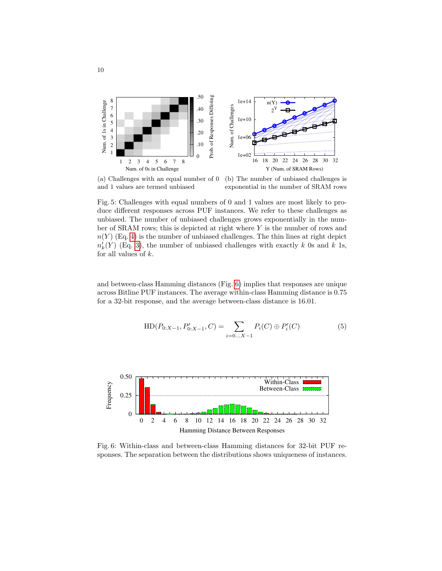<span id="page-9-0"></span>

(a) Challenges with an equal number of 0 and 1 values are termed unbiased

(b) The number of unbiased challenges is exponential in the number of SRAM rows

Fig. 5: Challenges with equal numbers of 0 and 1 values are most likely to produce different responses across PUF instances. We refer to these challenges as unbiased. The number of unbiased challenges grows exponentially in the number of SRAM rows; this is depicted at right where Y is the number of rows and  $n(Y)$  (Eq. [4\)](#page-8-1) is the number of unbiased challenges. The thin lines at right depict  $n'_{k}(Y)$  (Eq. [3\)](#page-8-0), the number of unbiased challenges with exactly k 0s and k 1s, for all values of  $k$ .

<span id="page-9-1"></span>and between-class Hamming distances (Fig. [6\)](#page-9-2) implies that responses are unique across Bitline PUF instances. The average within-class Hamming distance is 0.75 for a 32-bit response, and the average between-class distance is 16.01.

$$
HD(P_{0:X-1}, P'_{0:X-1}, C) = \sum_{i=0...X-1} P_i(C) \oplus P'_i(C)
$$
 (5)

<span id="page-9-2"></span>

Fig. 6: Within-class and between-class Hamming distances for 32-bit PUF responses. The separation between the distributions shows uniqueness of instances.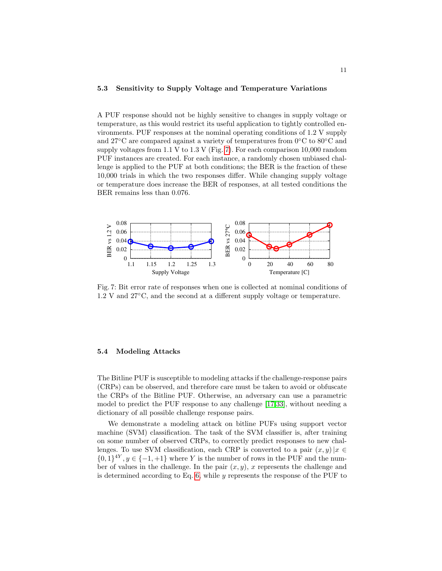### 5.3 Sensitivity to Supply Voltage and Temperature Variations

A PUF response should not be highly sensitive to changes in supply voltage or temperature, as this would restrict its useful application to tightly controlled environments. PUF responses at the nominal operating conditions of 1.2 V supply and 27°C are compared against a variety of temperatures from  $0^{\circ}$ C to  $80^{\circ}$ C and supply voltages from 1.1 V to 1.3 V (Fig. [7\)](#page-10-1). For each comparison 10,000 random PUF instances are created. For each instance, a randomly chosen unbiased challenge is applied to the PUF at both conditions; the BER is the fraction of these 10,000 trials in which the two responses differ. While changing supply voltage or temperature does increase the BER of responses, at all tested conditions the BER remains less than 0.076.

<span id="page-10-1"></span>

Fig. 7: Bit error rate of responses when one is collected at nominal conditions of 1.2 V and 27◦C, and the second at a different supply voltage or temperature.

#### <span id="page-10-0"></span>5.4 Modeling Attacks

The Bitline PUF is susceptible to modeling attacks if the challenge-response pairs (CRPs) can be observed, and therefore care must be taken to avoid or obfuscate the CRPs of the Bitline PUF. Otherwise, an adversary can use a parametric model to predict the PUF response to any challenge [\[17,](#page-15-2)[33\]](#page-16-7), without needing a dictionary of all possible challenge response pairs.

We demonstrate a modeling attack on bitline PUFs using support vector machine (SVM) classification. The task of the SVM classifier is, after training on some number of observed CRPs, to correctly predict responses to new challenges. To use SVM classification, each CRP is converted to a pair  $(x, y)|x \in$  $\{0,1\}^{4Y}, y \in \{-1,+1\}$  where Y is the number of rows in the PUF and the number of values in the challenge. In the pair  $(x, y)$ , x represents the challenge and is determined according to Eq.  $6$ , while  $y$  represents the response of the PUF to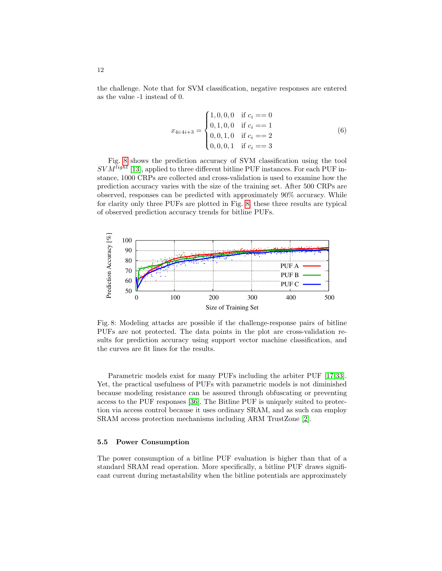<span id="page-11-0"></span>the challenge. Note that for SVM classification, negative responses are entered as the value -1 instead of 0.

$$
x_{4i:4i+3} = \begin{cases} 1,0,0,0 & \text{if } c_i = 0\\ 0,1,0,0 & \text{if } c_i = 1\\ 0,0,1,0 & \text{if } c_i = 2\\ 0,0,0,1 & \text{if } c_i = 3 \end{cases}
$$
(6)

Fig. [8](#page-11-1) shows the prediction accuracy of SVM classification using the tool  $SVM^{light}$  [\[13\]](#page-15-3), applied to three different bitline PUF instances. For each PUF instance, 1000 CRPs are collected and cross-validation is used to examine how the prediction accuracy varies with the size of the training set. After 500 CRPs are observed, responses can be predicted with approximately 90% accuracy. While for clarity only three PUFs are plotted in Fig. [8,](#page-11-1) these three results are typical of observed prediction accuracy trends for bitline PUFs.

<span id="page-11-1"></span>

Fig. 8: Modeling attacks are possible if the challenge-response pairs of bitline PUFs are not protected. The data points in the plot are cross-validation results for prediction accuracy using support vector machine classification, and the curves are fit lines for the results.

Parametric models exist for many PUFs including the arbiter PUF [\[17,](#page-15-2)[33\]](#page-16-7). Yet, the practical usefulness of PUFs with parametric models is not diminished because modeling resistance can be assured through obfuscating or preventing access to the PUF responses [\[36\]](#page-16-8). The Bitline PUF is uniquely suited to protection via access control because it uses ordinary SRAM, and as such can employ SRAM access protection mechanisms including ARM TrustZone [\[2\]](#page-14-1).

## 5.5 Power Consumption

The power consumption of a bitline PUF evaluation is higher than that of a standard SRAM read operation. More specifically, a bitline PUF draws significant current during metastability when the bitline potentials are approximately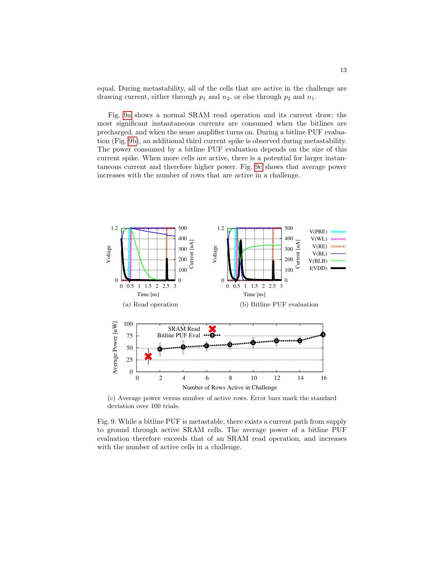equal. During metastability, all of the cells that are active in the challenge are drawing current, either through  $p_1$  and  $n_2$ , or else through  $p_2$  and  $n_1$ .

Fig. [9a](#page-12-0) shows a normal SRAM read operation and its current draw; the most significant instantaneous currents are consumed when the bitlines are precharged, and when the sense amplifier turns on. During a bitline PUF evaluation (Fig. [9b\)](#page-12-1), an additional third current spike is observed during metastability. The power consumed by a bitline PUF evaluation depends on the size of this current spike. When more cells are active, there is a potential for larger instantaneous current and therefore higher power. Fig. [9c](#page-12-2) shows that average power increases with the number of rows that are active in a challenge.

<span id="page-12-1"></span><span id="page-12-0"></span>

<span id="page-12-2"></span>(c) Average power versus number of active rows. Error bars mark the standard deviation over 100 trials.

Fig. 9: While a bitline PUF is metastable, there exists a current path from supply to ground through active SRAM cells. The average power of a bitline PUF evaluation therefore exceeds that of an SRAM read operation, and increases with the number of active cells in a challenge.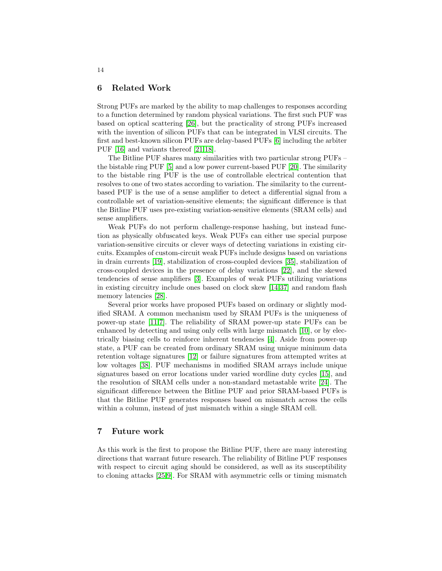## 6 Related Work

Strong PUFs are marked by the ability to map challenges to responses according to a function determined by random physical variations. The first such PUF was based on optical scattering [\[26\]](#page-16-9), but the practicality of strong PUFs increased with the invention of silicon PUFs that can be integrated in VLSI circuits. The first and best-known silicon PUFs are delay-based PUFs [\[6\]](#page-15-4) including the arbiter PUF [\[16\]](#page-15-5) and variants thereof [\[21,](#page-15-6)[18\]](#page-15-7).

The Bitline PUF shares many similarities with two particular strong PUFs – the bistable ring PUF [\[5\]](#page-14-2) and a low power current-based PUF [\[20\]](#page-15-8). The similarity to the bistable ring PUF is the use of controllable electrical contention that resolves to one of two states according to variation. The similarity to the currentbased PUF is the use of a sense amplifier to detect a differential signal from a controllable set of variation-sensitive elements; the significant difference is that the Bitline PUF uses pre-existing variation-sensitive elements (SRAM cells) and sense amplifiers.

Weak PUFs do not perform challenge-response hashing, but instead function as physically obfuscated keys. Weak PUFs can either use special purpose variation-sensitive circuits or clever ways of detecting variations in existing circuits. Examples of custom-circuit weak PUFs include designs based on variations in drain currents [\[19\]](#page-15-9), stabilization of cross-coupled devices [\[35\]](#page-16-10), stabilization of cross-coupled devices in the presence of delay variations [\[22\]](#page-15-10), and the skewed tendencies of sense amplifiers [\[3\]](#page-14-3). Examples of weak PUFs utilizing variations in existing circuitry include ones based on clock skew [\[14,](#page-15-11)[37\]](#page-16-11) and random flash memory latencies [\[28\]](#page-16-12).

Several prior works have proposed PUFs based on ordinary or slightly modified SRAM. A common mechanism used by SRAM PUFs is the uniqueness of power-up state [\[11,](#page-15-12)[7\]](#page-15-0). The reliability of SRAM power-up state PUFs can be enhanced by detecting and using only cells with large mismatch [\[10\]](#page-15-13), or by electrically biasing cells to reinforce inherent tendencies [\[4\]](#page-14-4). Aside from power-up state, a PUF can be created from ordinary SRAM using unique minimum data retention voltage signatures [\[12\]](#page-15-14) or failure signatures from attempted writes at low voltages [\[38\]](#page-16-13). PUF mechanisms in modified SRAM arrays include unique signatures based on error locations under varied wordline duty cycles [\[15\]](#page-15-15), and the resolution of SRAM cells under a non-standard metastable write [\[24\]](#page-16-14). The significant difference between the Bitline PUF and prior SRAM-based PUFs is that the Bitline PUF generates responses based on mismatch across the cells within a column, instead of just mismatch within a single SRAM cell.

## 7 Future work

As this work is the first to propose the Bitline PUF, there are many interesting directions that warrant future research. The reliability of Bitline PUF responses with respect to circuit aging should be considered, as well as its susceptibility to cloning attacks [\[25,](#page-16-15)[9\]](#page-15-16). For SRAM with asymmetric cells or timing mismatch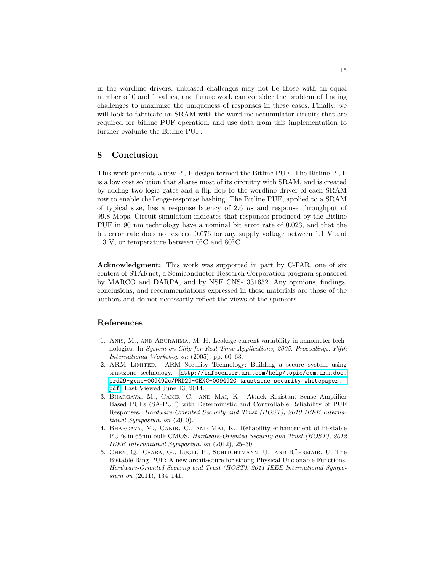in the wordline drivers, unbiased challenges may not be those with an equal number of 0 and 1 values, and future work can consider the problem of finding challenges to maximize the uniqueness of responses in these cases. Finally, we will look to fabricate an SRAM with the wordline accumulator circuits that are required for bitline PUF operation, and use data from this implementation to further evaluate the Bitline PUF.

## 8 Conclusion

This work presents a new PUF design termed the Bitline PUF. The Bitline PUF is a low cost solution that shares most of its circuitry with SRAM, and is created by adding two logic gates and a flip-flop to the wordline driver of each SRAM row to enable challenge-response hashing. The Bitline PUF, applied to a SRAM of typical size, has a response latency of 2.6  $\mu$ s and response throughput of 99.8 Mbps. Circuit simulation indicates that responses produced by the Bitline PUF in 90 nm technology have a nominal bit error rate of 0.023, and that the bit error rate does not exceed 0.076 for any supply voltage between 1.1 V and 1.3 V, or temperature between  $0^{\circ}$ C and  $80^{\circ}$ C.

Acknowledgment: This work was supported in part by C-FAR, one of six centers of STARnet, a Semiconductor Research Corporation program sponsored by MARCO and DARPA, and by NSF CNS-1331652. Any opinions, findings, conclusions, and recommendations expressed in these materials are those of the authors and do not necessarily reflect the views of the sponsors.

# References

- <span id="page-14-0"></span>1. Anis, M., and Aburahma, M. H. Leakage current variability in nanometer technologies. In System-on-Chip for Real-Time Applications, 2005. Proceedings. Fifth International Workshop on (2005), pp. 60–63.
- <span id="page-14-1"></span>2. ARM LIMITED. ARM Security Technology: Building a secure system using trustzone technology. [http://infocenter.arm.com/help/topic/com.arm.doc.](http://infocenter.arm.com/help/topic/com.arm.doc.prd29-genc-009492c/PRD29-GENC-009492C_trustzone_security_whitepaper.pdf) [prd29-genc-009492c/PRD29-GENC-009492C\\_trustzone\\_security\\_whitepaper.](http://infocenter.arm.com/help/topic/com.arm.doc.prd29-genc-009492c/PRD29-GENC-009492C_trustzone_security_whitepaper.pdf) [pdf](http://infocenter.arm.com/help/topic/com.arm.doc.prd29-genc-009492c/PRD29-GENC-009492C_trustzone_security_whitepaper.pdf). Last Viewed June 13, 2014.
- <span id="page-14-3"></span>3. Bhargava, M., Cakir, C., and Mai, K. Attack Resistant Sense Amplifier Based PUFs (SA-PUF) with Deterministic and Controllable Reliability of PUF Responses. Hardware-Oriented Security and Trust (HOST), 2010 IEEE International Symposium on (2010).
- <span id="page-14-4"></span>4. Bhargava, M., Cakir, C., and Mai, K. Reliability enhancement of bi-stable PUFs in 65nm bulk CMOS. Hardware-Oriented Security and Trust (HOST), 2012 IEEE International Symposium on (2012), 25–30.
- <span id="page-14-2"></span>5. CHEN, Q., CSABA, G., LUGLI, P., SCHLICHTMANN, U., AND RÜHRMAIR, U. The Bistable Ring PUF: A new architecture for strong Physical Unclonable Functions. Hardware-Oriented Security and Trust (HOST), 2011 IEEE International Symposium on (2011), 134-141.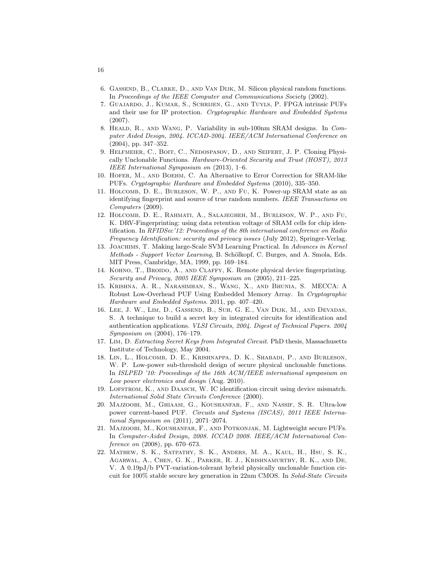- <span id="page-15-4"></span>6. Gassend, B., Clarke, D., and Van Dijk, M. Silicon physical random functions. In Proceedings of the IEEE Computer and Communications Society (2002).
- <span id="page-15-0"></span>7. Guajardo, J., Kumar, S., Schrijen, G., and Tuyls, P. FPGA intrinsic PUFs and their use for IP protection. Cryptographic Hardware and Embedded Systems (2007).
- <span id="page-15-1"></span>8. HEALD, R., AND WANG, P. Variability in sub-100nm SRAM designs. In Computer Aided Design, 2004. ICCAD-2004. IEEE/ACM International Conference on (2004), pp. 347–352.
- <span id="page-15-16"></span>9. Helfmeier, C., Boit, C., Nedospasov, D., and Seifert, J. P. Cloning Physically Unclonable Functions. Hardware-Oriented Security and Trust (HOST), 2013 IEEE International Symposium on (2013), 1–6.
- <span id="page-15-13"></span>10. Hofer, M., and Boehm, C. An Alternative to Error Correction for SRAM-like PUFs. Cryptographic Hardware and Embedded Systems (2010), 335–350.
- <span id="page-15-12"></span>11. Holcomb, D. E., Burleson, W. P., and Fu, K. Power-up SRAM state as an identifying fingerprint and source of true random numbers. IEEE Transactions on Computers (2009).
- <span id="page-15-14"></span>12. Holcomb, D. E., Rahmati, A., Salajegheh, M., Burleson, W. P., and Fu, K. DRV-Fingerprinting: using data retention voltage of SRAM cells for chip identification. In RFIDSec'12: Proceedings of the 8th international conference on Radio Frequency Identification: security and privacy issues (July 2012), Springer-Verlag.
- <span id="page-15-3"></span>13. Joachims, T. Making large-Scale SVM Learning Practical. In Advances in Kernel Methods - Support Vector Learning, B. Schölkopf, C. Burges, and A. Smola, Eds. MIT Press, Cambridge, MA, 1999, pp. 169–184.
- <span id="page-15-11"></span>14. Kohno, T., Broido, A., and Claffy, K. Remote physical device fingerprinting. Security and Privacy, 2005 IEEE Symposium on  $(2005)$ , 211-225.
- <span id="page-15-15"></span>15. Krishna, A. R., Narasimhan, S., Wang, X., and Bhunia, S. MECCA: A Robust Low-Overhead PUF Using Embedded Memory Array. In Cryptographic Hardware and Embedded Systems. 2011, pp. 407–420.
- <span id="page-15-5"></span>16. Lee, J. W., Lim, D., Gassend, B., Suh, G. E., Van Dijk, M., and Devadas, S. A technique to build a secret key in integrated circuits for identification and authentication applications. VLSI Circuits, 2004. Digest of Technical Papers. 2004 Symposium on (2004), 176–179.
- <span id="page-15-2"></span>17. Lim, D. Extracting Secret Keys from Integrated Circuit. PhD thesis, Massachusetts Institute of Technology, May 2004.
- <span id="page-15-7"></span>18. Lin, L., Holcomb, D. E., Krishnappa, D. K., Shabadi, P., and Burleson, W. P. Low-power sub-threshold design of secure physical unclonable functions. In ISLPED '10: Proceedings of the 16th ACM/IEEE international symposium on Low power electronics and design (Aug. 2010).
- <span id="page-15-9"></span>19. LOFSTROM, K., AND DAASCH, W. IC identification circuit using device mismatch. International Solid State Circuits Conference (2000).
- <span id="page-15-8"></span>20. Majzoobi, M., Ghiaasi, G., Koushanfar, F., and Nassif, S. R. Ultra-low power current-based PUF. Circuits and Systems (ISCAS), 2011 IEEE International Symposium on (2011), 2071–2074.
- <span id="page-15-6"></span>21. Majzoobi, M., Koushanfar, F., and Potkonjak, M. Lightweight secure PUFs. In Computer-Aided Design, 2008. ICCAD 2008. IEEE/ACM International Conference on  $(2008)$ , pp. 670–673.
- <span id="page-15-10"></span>22. Mathew, S. K., Satpathy, S. K., Anders, M. A., Kaul, H., Hsu, S. K., Agarwal, A., Chen, G. K., Parker, R. J., Krishnamurthy, R. K., and De, V. A 0.19pJ/b PVT-variation-tolerant hybrid physically unclonable function circuit for 100% stable secure key generation in 22nm CMOS. In Solid-State Circuits

16